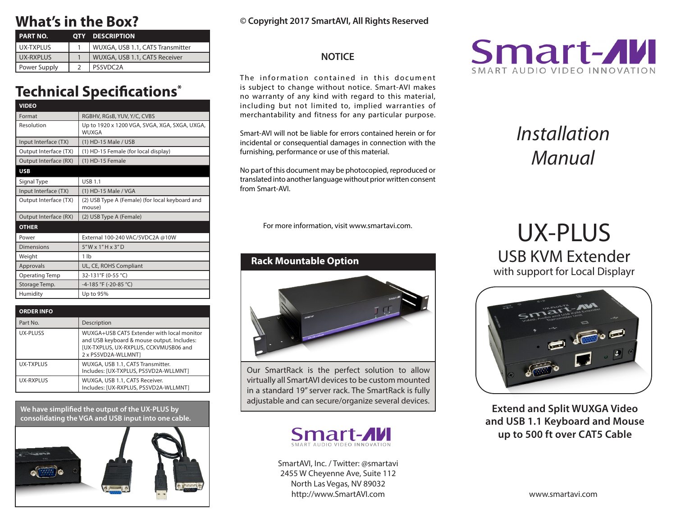## **What's in the Box?**

| PART NO.     | <b>OTY DESCRIPTION</b>           |
|--------------|----------------------------------|
| UX-TXPLUS    | WUXGA, USB 1.1, CAT5 Transmitter |
| UX-RXPLUS    | WUXGA, USB 1.1, CAT5 Receiver    |
| Power Supply | PS5VDC2A                         |

## **Technical Specifications\***

| <b>VIDEO</b>          |                                                               |
|-----------------------|---------------------------------------------------------------|
| Format                | RGBHV, RGsB, YUV, Y/C, CVBS                                   |
| Resolution            | Up to 1920 x 1200 VGA, SVGA, XGA, SXGA, UXGA,<br><b>WUXGA</b> |
| Input Interface (TX)  | $(1)$ HD-15 Male / USB                                        |
| Output Interface (TX) | (1) HD-15 Female (for local display)                          |
| Output Interface (RX) | (1) HD-15 Female                                              |
| <b>USB</b>            |                                                               |
| Signal Type           | <b>USB 1.1</b>                                                |
| Input Interface (TX)  | (1) HD-15 Male / VGA                                          |
| Output Interface (TX) | (2) USB Type A (Female) (for local keyboard and<br>mouse)     |
| Output Interface (RX) | (2) USB Type A (Female)                                       |
| <b>OTHER</b>          |                                                               |
| Power                 | External 100-240 VAC/5VDC2A @10W                              |
| <b>Dimensions</b>     | $5"$ W x $1"$ H x $3"$ D                                      |
| Weight                | 1 <sub>h</sub>                                                |
| Approvals             | UL, CE, ROHS Compliant                                        |
| <b>Operating Temp</b> | 32-131°F (0-55 °C)                                            |
| Storage Temp.         | -4-185 °F (-20-85 °C)                                         |
| Humidity              | Up to 95%                                                     |

| <b>ORDER INFO</b> |                                                                                                                                                          |
|-------------------|----------------------------------------------------------------------------------------------------------------------------------------------------------|
| Part No.          | Description                                                                                                                                              |
| UX-PLUSS          | WUXGA+USB CAT5 Extender with local monitor<br>and USB keyboard & mouse output. Includes:<br>[UX-TXPLUS, UX-RXPLUS, CCKVMUSB06 and<br>2 x PS5VD2A-WLLMNT1 |
| UX-TXPLUS         | WUXGA, USB 1.1, CAT5 Transmitter.<br>Includes: [UX-TXPLUS, PS5VD2A-WLLMNT]                                                                               |
| UX-RXPLUS         | WUXGA, USB 1.1, CAT5 Receiver.<br>Includes: [UX-RXPLUS, PS5VD2A-WLLMNT]                                                                                  |

**We have simplified the output of the UX-PLUS by consolidating the VGA and USB input into one cable.**



#### **© Copyright 2017 SmartAVI, All Rights Reserved**

#### **NOTICE**

The information contained in this document is subject to change without notice. Smart-AVI makes no warranty of any kind with regard to this material, including but not limited to, implied warranties of merchantability and fitness for any particular purpose.

Smart-AVI will not be liable for errors contained herein or for incidental or consequential damages in connection with the furnishing, performance or use of this material.

No part of this document may be photocopied, reproduced or translated into another language without prior written consent from Smart-AVI.

For more information, visit www.smartavi.com.

#### **Rack Mountable Option**



Our SmartRack is the perfect solution to allow virtually all SmartAVI devices to be custom mounted in a standard 19" server rack. The SmartRack is fully adjustable and can secure/organize several devices.



SmartAVI, Inc. / Twitter: @smartavi 2455 W Cheyenne Ave, Suite 112 North Las Vegas, NV 89032 http://www.SmartAVI.com



# *Installation Manual*

# UX-PLUS USB KVM Extender

with support for Local Displayr



**Extend and Split WUXGA Video and USB 1.1 Keyboard and Mouse up to 500 ft over CAT5 Cable**